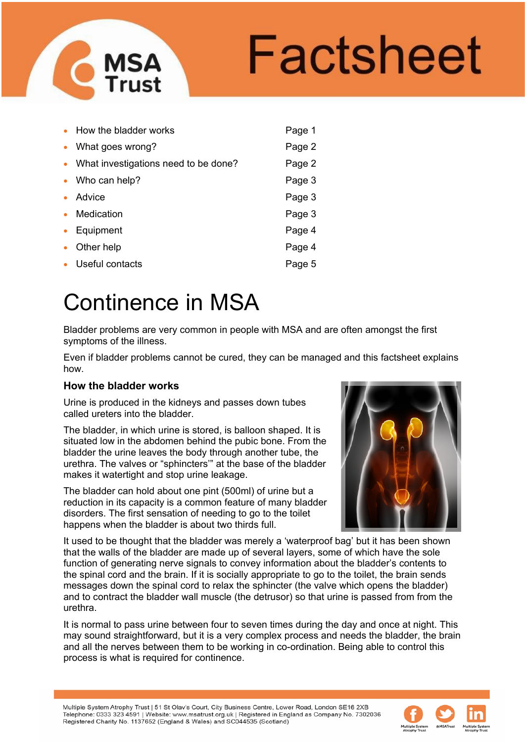

|           | • How the bladder works                | Page 1 |
|-----------|----------------------------------------|--------|
|           | • What goes wrong?                     | Page 2 |
|           | • What investigations need to be done? | Page 2 |
|           | • Who can help?                        | Page 3 |
|           | • Advice                               | Page 3 |
| $\bullet$ | Medication                             | Page 3 |
| $\bullet$ | Equipment                              | Page 4 |
| $\bullet$ | Other help                             | Page 4 |
|           | • Useful contacts                      | Page 5 |

# Continence in MSA

Bladder problems are very common in people with MSA and are often amongst the first symptoms of the illness.

Even if bladder problems cannot be cured, they can be managed and this factsheet explains how.

### **How the bladder works**

Urine is produced in the kidneys and passes down tubes called ureters into the bladder.

The bladder, in which urine is stored, is balloon shaped. It is situated low in the abdomen behind the pubic bone. From the bladder the urine leaves the body through another tube, the urethra. The valves or "sphincters'" at the base of the bladder makes it watertight and stop urine leakage.

The bladder can hold about one pint (500ml) of urine but a reduction in its capacity is a common feature of many bladder disorders. The first sensation of needing to go to the toilet happens when the bladder is about two thirds full.



It used to be thought that the bladder was merely a 'waterproof bag' but it has been shown that the walls of the bladder are made up of several layers, some of which have the sole function of generating nerve signals to convey information about the bladder's contents to the spinal cord and the brain. If it is socially appropriate to go to the toilet, the brain sends messages down the spinal cord to relax the sphincter (the valve which opens the bladder) and to contract the bladder wall muscle (the detrusor) so that urine is passed from from the urethra.

It is normal to pass urine between four to seven times during the day and once at night. This may sound straightforward, but it is a very complex process and needs the bladder, the brain and all the nerves between them to be working in co-ordination. Being able to control this process is what is required for continence.

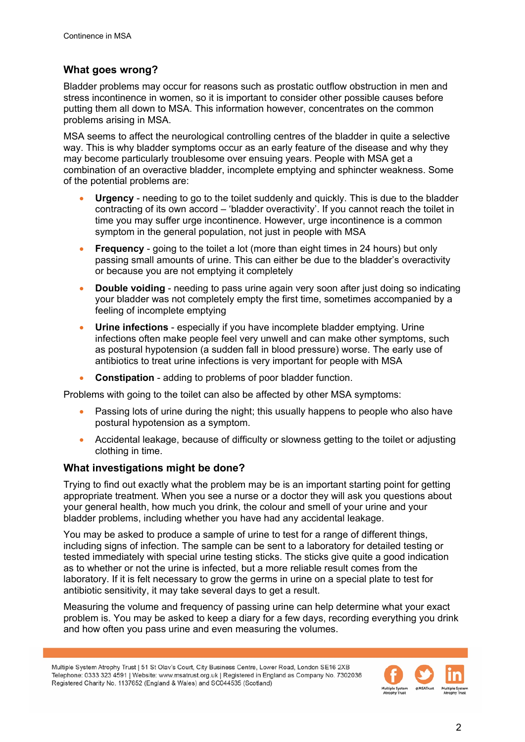## **What goes wrong?**

Bladder problems may occur for reasons such as prostatic outflow obstruction in men and stress incontinence in women, so it is important to consider other possible causes before putting them all down to MSA. This information however, concentrates on the common problems arising in MSA.

MSA seems to affect the neurological controlling centres of the bladder in quite a selective way. This is why bladder symptoms occur as an early feature of the disease and why they may become particularly troublesome over ensuing years. People with MSA get a combination of an overactive bladder, incomplete emptying and sphincter weakness. Some of the potential problems are:

- **Urgency** needing to go to the toilet suddenly and quickly. This is due to the bladder contracting of its own accord – 'bladder overactivity'. If you cannot reach the toilet in time you may suffer urge incontinence. However, urge incontinence is a common symptom in the general population, not just in people with MSA
- **Frequency** going to the toilet a lot (more than eight times in 24 hours) but only passing small amounts of urine. This can either be due to the bladder's overactivity or because you are not emptying it completely
- **Double voiding** needing to pass urine again very soon after just doing so indicating your bladder was not completely empty the first time, sometimes accompanied by a feeling of incomplete emptying
- **Urine infections** especially if you have incomplete bladder emptying. Urine infections often make people feel very unwell and can make other symptoms, such as postural hypotension (a sudden fall in blood pressure) worse. The early use of antibiotics to treat urine infections is very important for people with MSA
- **Constipation** adding to problems of poor bladder function.

Problems with going to the toilet can also be affected by other MSA symptoms:

- Passing lots of urine during the night; this usually happens to people who also have postural hypotension as a symptom.
- Accidental leakage, because of difficulty or slowness getting to the toilet or adjusting clothing in time.

### **What investigations might be done?**

Trying to find out exactly what the problem may be is an important starting point for getting appropriate treatment. When you see a nurse or a doctor they will ask you questions about your general health, how much you drink, the colour and smell of your urine and your bladder problems, including whether you have had any accidental leakage.

You may be asked to produce a sample of urine to test for a range of different things, including signs of infection. The sample can be sent to a laboratory for detailed testing or tested immediately with special urine testing sticks. The sticks give quite a good indication as to whether or not the urine is infected, but a more reliable result comes from the laboratory. If it is felt necessary to grow the germs in urine on a special plate to test for antibiotic sensitivity, it may take several days to get a result.

Measuring the volume and frequency of passing urine can help determine what your exact problem is. You may be asked to keep a diary for a few days, recording everything you drink and how often you pass urine and even measuring the volumes.

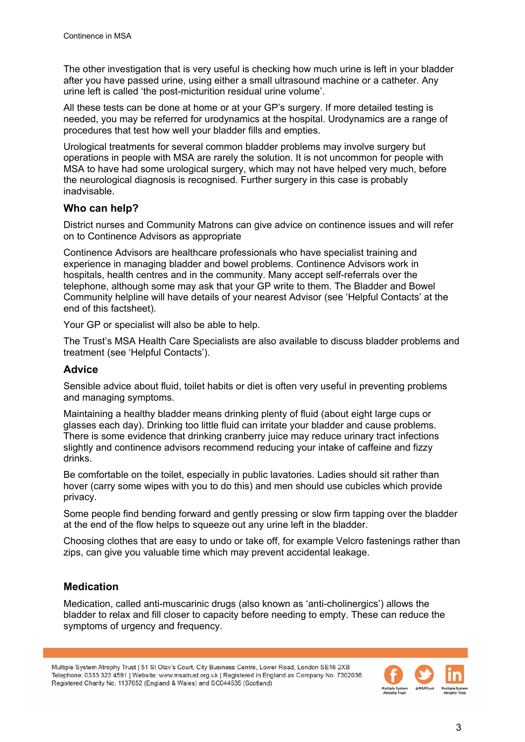The other investigation that is very useful is checking how much urine is left in your bladder after you have passed urine, using either a small ultrasound machine or a catheter. Any urine left is called 'the post-micturition residual urine volume'.

All these tests can be done at home or at your GP's surgery. If more detailed testing is needed, you may be referred for urodynamics at the hospital. Urodynamics are a range of procedures that test how well your bladder fills and empties.

Urological treatments for several common bladder problems may involve surgery but operations in people with MSA are rarely the solution. It is not uncommon for people with MSA to have had some urological surgery, which may not have helped very much, before the neurological diagnosis is recognised. Further surgery in this case is probably inadvisable.

### **Who can help?**

District nurses and Community Matrons can give advice on continence issues and will refer on to Continence Advisors as appropriate

Continence Advisors are healthcare professionals who have specialist training and experience in managing bladder and bowel problems. Continence Advisors work in hospitals, health centres and in the community. Many accept self-referrals over the telephone, although some may ask that your GP write to them. The Bladder and Bowel Community helpline will have details of your nearest Advisor (see 'Helpful Contacts' at the end of this factsheet).

Your GP or specialist will also be able to help.

The Trust's MSA Health Care Specialists are also available to discuss bladder problems and treatment (see 'Helpful Contacts').

#### **Advice**

Sensible advice about fluid, toilet habits or diet is often very useful in preventing problems and managing symptoms.

Maintaining a healthy bladder means drinking plenty of fluid (about eight large cups or glasses each day). Drinking too little fluid can irritate your bladder and cause problems. There is some evidence that drinking cranberry juice may reduce urinary tract infections slightly and continence advisors recommend reducing your intake of caffeine and fizzy drinks.

Be comfortable on the toilet, especially in public lavatories. Ladies should sit rather than hover (carry some wipes with you to do this) and men should use cubicles which provide privacy.

Some people find bending forward and gently pressing or slow firm tapping over the bladder at the end of the flow helps to squeeze out any urine left in the bladder.

Choosing clothes that are easy to undo or take off, for example Velcro fastenings rather than zips, can give you valuable time which may prevent accidental leakage.

### **Medication**

Medication, called anti-muscarinic drugs (also known as 'anti-cholinergics') allows the bladder to relax and fill closer to capacity before needing to empty. These can reduce the symptoms of urgency and frequency.

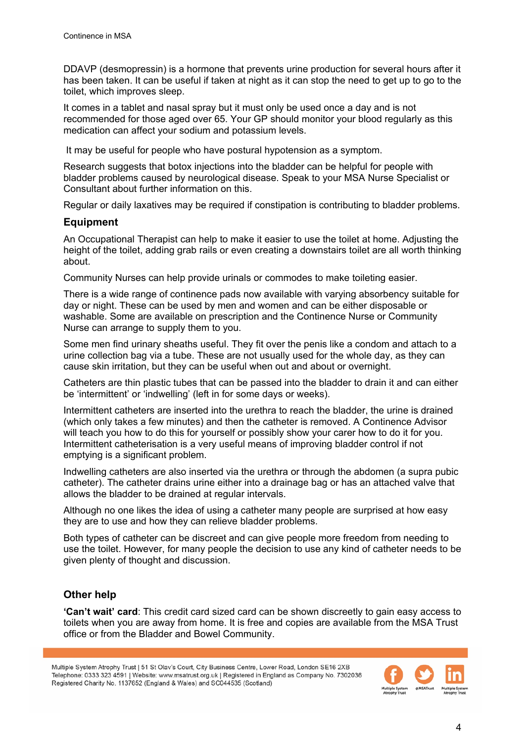DDAVP (desmopressin) is a hormone that prevents urine production for several hours after it has been taken. It can be useful if taken at night as it can stop the need to get up to go to the toilet, which improves sleep.

It comes in a tablet and nasal spray but it must only be used once a day and is not recommended for those aged over 65. Your GP should monitor your blood regularly as this medication can affect your sodium and potassium levels.

It may be useful for people who have postural hypotension as a symptom.

Research suggests that botox injections into the bladder can be helpful for people with bladder problems caused by neurological disease. Speak to your MSA Nurse Specialist or Consultant about further information on this.

Regular or daily laxatives may be required if constipation is contributing to bladder problems.

### **Equipment**

An Occupational Therapist can help to make it easier to use the toilet at home. Adjusting the height of the toilet, adding grab rails or even creating a downstairs toilet are all worth thinking about.

Community Nurses can help provide urinals or commodes to make toileting easier.

There is a wide range of continence pads now available with varying absorbency suitable for day or night. These can be used by men and women and can be either disposable or washable. Some are available on prescription and the Continence Nurse or Community Nurse can arrange to supply them to you.

Some men find urinary sheaths useful. They fit over the penis like a condom and attach to a urine collection bag via a tube. These are not usually used for the whole day, as they can cause skin irritation, but they can be useful when out and about or overnight.

Catheters are thin plastic tubes that can be passed into the bladder to drain it and can either be 'intermittent' or 'indwelling' (left in for some days or weeks).

Intermittent catheters are inserted into the urethra to reach the bladder, the urine is drained (which only takes a few minutes) and then the catheter is removed. A Continence Advisor will teach you how to do this for yourself or possibly show your carer how to do it for you. Intermittent catheterisation is a very useful means of improving bladder control if not emptying is a significant problem.

Indwelling catheters are also inserted via the urethra or through the abdomen (a supra pubic catheter). The catheter drains urine either into a drainage bag or has an attached valve that allows the bladder to be drained at regular intervals.

Although no one likes the idea of using a catheter many people are surprised at how easy they are to use and how they can relieve bladder problems.

Both types of catheter can be discreet and can give people more freedom from needing to use the toilet. However, for many people the decision to use any kind of catheter needs to be given plenty of thought and discussion.

# **Other help**

**'Can't wait' card**: This credit card sized card can be shown discreetly to gain easy access to toilets when you are away from home. It is free and copies are available from the MSA Trust office or from the Bladder and Bowel Community.

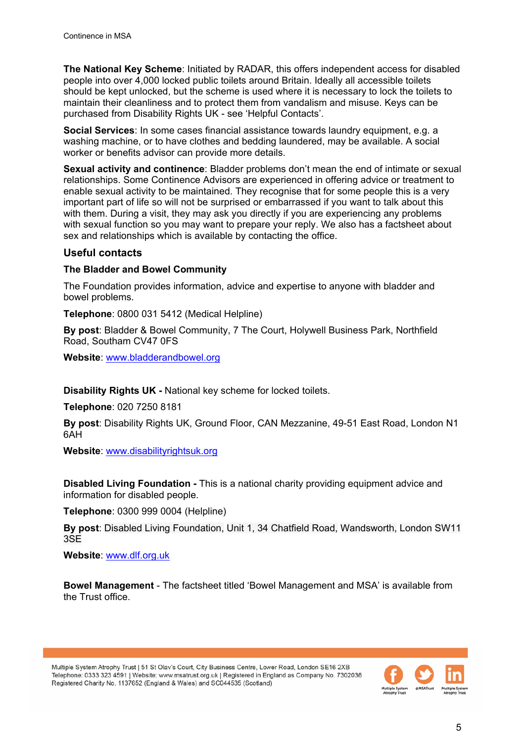**The National Key Scheme**: Initiated by RADAR, this offers independent access for disabled people into over 4,000 locked public toilets around Britain. Ideally all accessible toilets should be kept unlocked, but the scheme is used where it is necessary to lock the toilets to maintain their cleanliness and to protect them from vandalism and misuse. Keys can be purchased from Disability Rights UK - see 'Helpful Contacts'.

**Social Services**: In some cases financial assistance towards laundry equipment, e.g. a washing machine, or to have clothes and bedding laundered, may be available. A social worker or benefits advisor can provide more details.

**Sexual activity and continence**: Bladder problems don't mean the end of intimate or sexual relationships. Some Continence Advisors are experienced in offering advice or treatment to enable sexual activity to be maintained. They recognise that for some people this is a very important part of life so will not be surprised or embarrassed if you want to talk about this with them. During a visit, they may ask you directly if you are experiencing any problems with sexual function so you may want to prepare your reply. We also has a factsheet about sex and relationships which is available by contacting the office.

#### **Useful contacts**

#### **The Bladder and Bowel Community**

The Foundation provides information, advice and expertise to anyone with bladder and bowel problems.

**Telephone**: 0800 031 5412 (Medical Helpline)

**By post**: Bladder & Bowel Community, 7 The Court, Holywell Business Park, Northfield Road, Southam CV47 0FS

**Website**: [www.bladderandbowel.org](http://www.bladderandbowel.org/) 

**Disability Rights UK -** National key scheme for locked toilets.

**Telephone**: 020 7250 8181

**By post**: Disability Rights UK, Ground Floor, CAN Mezzanine, 49-51 East Road, London N1 6AH

**Website**: [www.disabilityrightsuk.org](http://www.disabilityrightsuk.org/) 

**Disabled Living Foundation -** This is a national charity providing equipment advice and information for disabled people.

**Telephone**: 0300 999 0004 (Helpline)

**By post**: Disabled Living Foundation, Unit 1, 34 Chatfield Road, Wandsworth, London SW11 3SE

**Website**: [www.dlf.org.uk](http://www.dlf.org.uk/) 

**Bowel Management** - The factsheet titled 'Bowel Management and MSA' is available from the Trust office.